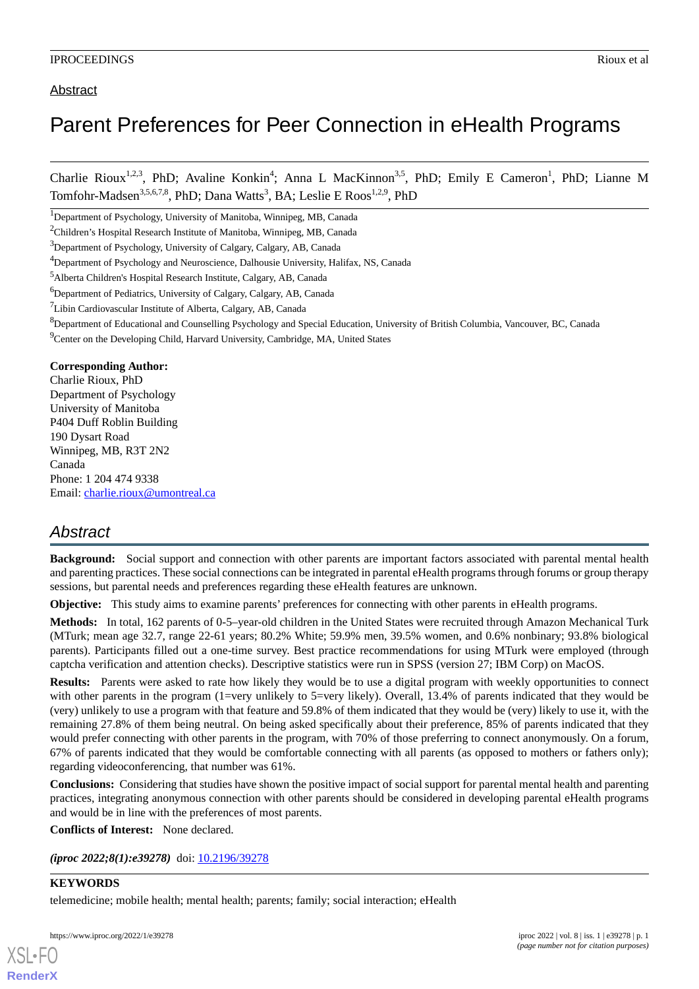Charlie Rioux<sup>1,2,3</sup>, PhD; Avaline Konkin<sup>4</sup>; Anna L MacKinnon<sup>3,5</sup>, PhD; Emily E Cameron<sup>1</sup>, PhD; Lianne M Tomfohr-Madsen<sup>3,5,6,7,8</sup>, PhD; Dana Watts<sup>3</sup>, BA; Leslie E Roos<sup>1,2,9</sup>, PhD

<sup>1</sup>Department of Psychology, University of Manitoba, Winnipeg, MB, Canada

<sup>2</sup>Children's Hospital Research Institute of Manitoba, Winnipeg, MB, Canada

<sup>3</sup>Department of Psychology, University of Calgary, Calgary, AB, Canada

<sup>6</sup>Department of Pediatrics, University of Calgary, Calgary, AB, Canada

- <sup>8</sup>Department of Educational and Counselling Psychology and Special Education, University of British Columbia, Vancouver, BC, Canada
- <sup>9</sup>Center on the Developing Child, Harvard University, Cambridge, MA, United States

## **Corresponding Author:**

Charlie Rioux, PhD Department of Psychology University of Manitoba P404 Duff Roblin Building 190 Dysart Road Winnipeg, MB, R3T 2N2 Canada Phone: 1 204 474 9338 Email: [charlie.rioux@umontreal.ca](mailto:charlie.rioux@umontreal.ca)

## *Abstract*

**Background:** Social support and connection with other parents are important factors associated with parental mental health and parenting practices. These social connections can be integrated in parental eHealth programs through forums or group therapy sessions, but parental needs and preferences regarding these eHealth features are unknown.

**Objective:** This study aims to examine parents' preferences for connecting with other parents in eHealth programs.

**Methods:** In total, 162 parents of 0-5–year-old children in the United States were recruited through Amazon Mechanical Turk (MTurk; mean age 32.7, range 22-61 years; 80.2% White; 59.9% men, 39.5% women, and 0.6% nonbinary; 93.8% biological parents). Participants filled out a one-time survey. Best practice recommendations for using MTurk were employed (through captcha verification and attention checks). Descriptive statistics were run in SPSS (version 27; IBM Corp) on MacOS.

**Results:** Parents were asked to rate how likely they would be to use a digital program with weekly opportunities to connect with other parents in the program (1=very unlikely to 5=very likely). Overall, 13.4% of parents indicated that they would be (very) unlikely to use a program with that feature and 59.8% of them indicated that they would be (very) likely to use it, with the remaining 27.8% of them being neutral. On being asked specifically about their preference, 85% of parents indicated that they would prefer connecting with other parents in the program, with 70% of those preferring to connect anonymously. On a forum, 67% of parents indicated that they would be comfortable connecting with all parents (as opposed to mothers or fathers only); regarding videoconferencing, that number was 61%.

**Conclusions:** Considering that studies have shown the positive impact of social support for parental mental health and parenting practices, integrating anonymous connection with other parents should be considered in developing parental eHealth programs and would be in line with the preferences of most parents.

**Conflicts of Interest:** None declared.

*(iproc 2022;8(1):e39278)* doi:  $10.2196/39278$ 

## **KEYWORDS**

[XSL](http://www.w3.org/Style/XSL)•FO **[RenderX](http://www.renderx.com/)**

telemedicine; mobile health; mental health; parents; family; social interaction; eHealth

<sup>4</sup>Department of Psychology and Neuroscience, Dalhousie University, Halifax, NS, Canada

<sup>5</sup>Alberta Children's Hospital Research Institute, Calgary, AB, Canada

<sup>7</sup>Libin Cardiovascular Institute of Alberta, Calgary, AB, Canada